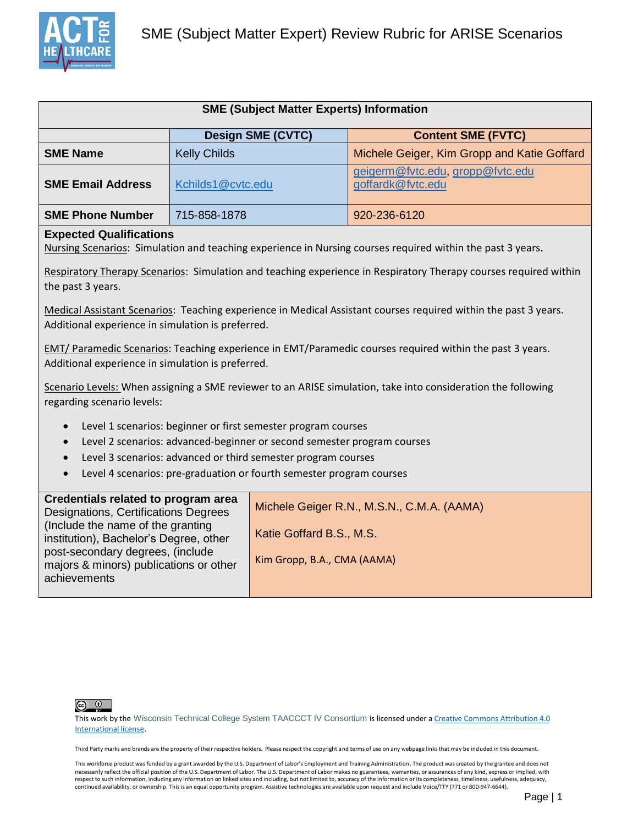

| <b>SME (Subject Matter Experts) Information</b>       |                     |                                                       |  |  |
|-------------------------------------------------------|---------------------|-------------------------------------------------------|--|--|
| <b>Design SME (CVTC)</b><br><b>Content SME (FVTC)</b> |                     |                                                       |  |  |
| <b>SME Name</b>                                       | <b>Kelly Childs</b> | Michele Geiger, Kim Gropp and Katie Goffard           |  |  |
| <b>SME Email Address</b>                              | Kchilds1@cvtc.edu   | geigerm@fvtc.edu, gropp@fvtc.edu<br>goffardk@fvtc.edu |  |  |
| <b>SME Phone Number</b>                               | 715-858-1878        | 920-236-6120                                          |  |  |

## **Expected Qualifications**

Nursing Scenarios: Simulation and teaching experience in Nursing courses required within the past 3 years.

Respiratory Therapy Scenarios: Simulation and teaching experience in Respiratory Therapy courses required within the past 3 years.

Medical Assistant Scenarios: Teaching experience in Medical Assistant courses required within the past 3 years. Additional experience in simulation is preferred.

EMT/ Paramedic Scenarios: Teaching experience in EMT/Paramedic courses required within the past 3 years. Additional experience in simulation is preferred.

Scenario Levels: When assigning a SME reviewer to an ARISE simulation, take into consideration the following regarding scenario levels:

- Level 1 scenarios: beginner or first semester program courses
- Level 2 scenarios: advanced-beginner or second semester program courses
- Level 3 scenarios: advanced or third semester program courses
- Level 4 scenarios: pre-graduation or fourth semester program courses



This work by the [Wisconsin Technical College System TAACCCT IV Consortium](http://advancewisconsin.org/advance-wisconsin/it/) is licensed under a Creative Commons Attribution 4.0 [International license.](http://creativecommons.org/licenses/by/4.0/) 

Third Party marks and brands are the property of their respective holders. Please respect the copyright and terms of use on any webpage links that may be included in this document.

This workforce product was funded by a grant awarded by the U.S. Department of Labor's Employment and Training Administration. The product was created by the grantee and does not necessarily reflect the official position of the U.S. Department of Labor. The U.S. Department of Labor makes no guarantees, warranties, or assurances of any kind, express or implied, with respect to such information, including any information on linked sites and including, but not limited to, accuracy of the information or its completeness, timeliness, usefulness, adequacy, continued availability, or ownership. This is an equal opportunity program. Assistive technologies are available upon request and include Voice/TTY (771 or 800-947-6644).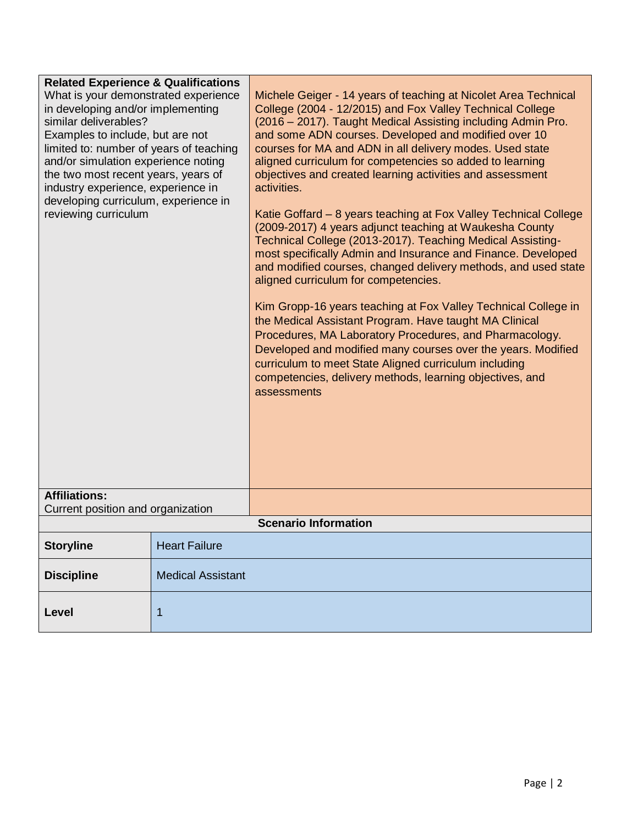| <b>Related Experience &amp; Qualifications</b><br>What is your demonstrated experience<br>in developing and/or implementing<br>similar deliverables?<br>Examples to include, but are not<br>limited to: number of years of teaching<br>and/or simulation experience noting<br>the two most recent years, years of<br>industry experience, experience in<br>developing curriculum, experience in<br>reviewing curriculum<br><b>Affiliations:</b><br>Current position and organization |                          | Michele Geiger - 14 years of teaching at Nicolet Area Technical<br>College (2004 - 12/2015) and Fox Valley Technical College<br>(2016 - 2017). Taught Medical Assisting including Admin Pro.<br>and some ADN courses. Developed and modified over 10<br>courses for MA and ADN in all delivery modes. Used state<br>aligned curriculum for competencies so added to learning<br>objectives and created learning activities and assessment<br>activities.<br>Katie Goffard - 8 years teaching at Fox Valley Technical College<br>(2009-2017) 4 years adjunct teaching at Waukesha County<br>Technical College (2013-2017). Teaching Medical Assisting-<br>most specifically Admin and Insurance and Finance. Developed<br>and modified courses, changed delivery methods, and used state<br>aligned curriculum for competencies.<br>Kim Gropp-16 years teaching at Fox Valley Technical College in<br>the Medical Assistant Program. Have taught MA Clinical<br>Procedures, MA Laboratory Procedures, and Pharmacology.<br>Developed and modified many courses over the years. Modified<br>curriculum to meet State Aligned curriculum including<br>competencies, delivery methods, learning objectives, and<br>assessments |  |  |  |
|--------------------------------------------------------------------------------------------------------------------------------------------------------------------------------------------------------------------------------------------------------------------------------------------------------------------------------------------------------------------------------------------------------------------------------------------------------------------------------------|--------------------------|----------------------------------------------------------------------------------------------------------------------------------------------------------------------------------------------------------------------------------------------------------------------------------------------------------------------------------------------------------------------------------------------------------------------------------------------------------------------------------------------------------------------------------------------------------------------------------------------------------------------------------------------------------------------------------------------------------------------------------------------------------------------------------------------------------------------------------------------------------------------------------------------------------------------------------------------------------------------------------------------------------------------------------------------------------------------------------------------------------------------------------------------------------------------------------------------------------------------------|--|--|--|
|                                                                                                                                                                                                                                                                                                                                                                                                                                                                                      |                          |                                                                                                                                                                                                                                                                                                                                                                                                                                                                                                                                                                                                                                                                                                                                                                                                                                                                                                                                                                                                                                                                                                                                                                                                                            |  |  |  |
|                                                                                                                                                                                                                                                                                                                                                                                                                                                                                      |                          | <b>Scenario Information</b>                                                                                                                                                                                                                                                                                                                                                                                                                                                                                                                                                                                                                                                                                                                                                                                                                                                                                                                                                                                                                                                                                                                                                                                                |  |  |  |
| <b>Storyline</b>                                                                                                                                                                                                                                                                                                                                                                                                                                                                     | <b>Heart Failure</b>     |                                                                                                                                                                                                                                                                                                                                                                                                                                                                                                                                                                                                                                                                                                                                                                                                                                                                                                                                                                                                                                                                                                                                                                                                                            |  |  |  |
| <b>Discipline</b>                                                                                                                                                                                                                                                                                                                                                                                                                                                                    | <b>Medical Assistant</b> |                                                                                                                                                                                                                                                                                                                                                                                                                                                                                                                                                                                                                                                                                                                                                                                                                                                                                                                                                                                                                                                                                                                                                                                                                            |  |  |  |
| Level                                                                                                                                                                                                                                                                                                                                                                                                                                                                                | 1                        |                                                                                                                                                                                                                                                                                                                                                                                                                                                                                                                                                                                                                                                                                                                                                                                                                                                                                                                                                                                                                                                                                                                                                                                                                            |  |  |  |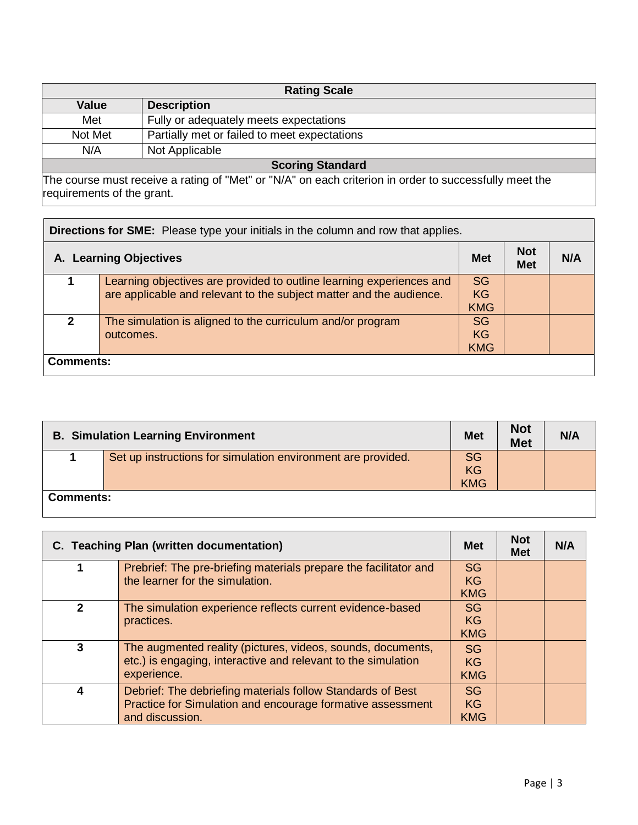| <b>Rating Scale</b>     |                                              |  |
|-------------------------|----------------------------------------------|--|
| <b>Value</b>            | <b>Description</b>                           |  |
| Met                     | Fully or adequately meets expectations       |  |
| Not Met                 | Partially met or failed to meet expectations |  |
| N/A                     | Not Applicable                               |  |
| <b>Scoring Standard</b> |                                              |  |

The course must receive a rating of "Met" or "N/A" on each criterion in order to successfully meet the requirements of the grant.

| <b>Directions for SME:</b> Please type your initials in the column and row that applies. |                                                                                                                                             |                                      |                          |     |
|------------------------------------------------------------------------------------------|---------------------------------------------------------------------------------------------------------------------------------------------|--------------------------------------|--------------------------|-----|
| A. Learning Objectives                                                                   |                                                                                                                                             | <b>Met</b>                           | <b>Not</b><br><b>Met</b> | N/A |
|                                                                                          | Learning objectives are provided to outline learning experiences and<br>are applicable and relevant to the subject matter and the audience. | <b>SG</b><br><b>KG</b><br><b>KMG</b> |                          |     |
| $\mathbf{z}$                                                                             | The simulation is aligned to the curriculum and/or program<br>outcomes.                                                                     | <b>SG</b><br><b>KG</b><br><b>KMG</b> |                          |     |
| Comments:                                                                                |                                                                                                                                             |                                      |                          |     |

| <b>B. Simulation Learning Environment</b> |                                                              | <b>Met</b>                    | <b>Not</b><br><b>Met</b> | N/A |
|-------------------------------------------|--------------------------------------------------------------|-------------------------------|--------------------------|-----|
|                                           | Set up instructions for simulation environment are provided. | <b>SG</b><br>KG<br><b>KMG</b> |                          |     |
| <b>Comments:</b>                          |                                                              |                               |                          |     |

| C. Teaching Plan (written documentation) |                                                                                                                                             | <b>Met</b>                           | <b>Not</b><br><b>Met</b> | N/A |
|------------------------------------------|---------------------------------------------------------------------------------------------------------------------------------------------|--------------------------------------|--------------------------|-----|
|                                          | Prebrief: The pre-briefing materials prepare the facilitator and<br>the learner for the simulation.                                         | <b>SG</b><br><b>KG</b><br><b>KMG</b> |                          |     |
| $\mathbf{2}$                             | The simulation experience reflects current evidence-based<br>practices.                                                                     | <b>SG</b><br><b>KG</b><br><b>KMG</b> |                          |     |
| 3                                        | The augmented reality (pictures, videos, sounds, documents,<br>etc.) is engaging, interactive and relevant to the simulation<br>experience. | <b>SG</b><br><b>KG</b><br><b>KMG</b> |                          |     |
|                                          | Debrief: The debriefing materials follow Standards of Best<br>Practice for Simulation and encourage formative assessment<br>and discussion. | SG.<br><b>KG</b><br><b>KMG</b>       |                          |     |